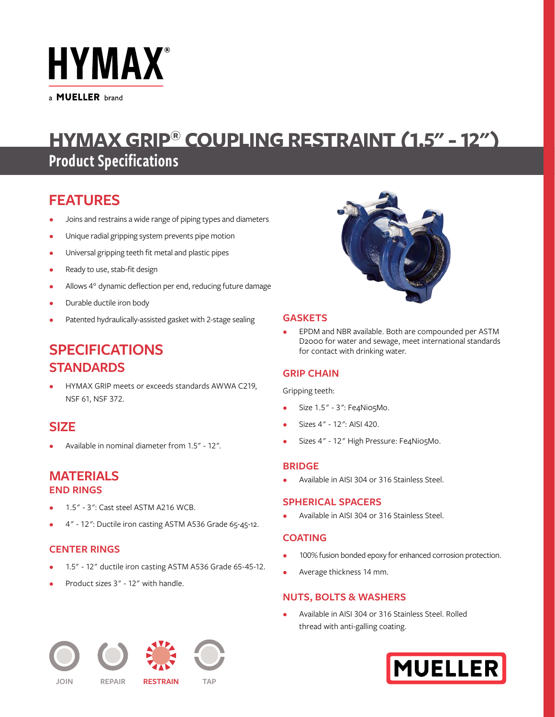

a **MUELLER** brand

# **HYMAX GRIP® COUPLING RESTRAINT (1.5" - 12")**

## Product Specifications

## **FEATURES**

- Joins and restrains a wide range of piping types and diameters
- Unique radial gripping system prevents pipe motion
- Universal gripping teeth fit metal and plastic pipes
- Ready to use, stab-fit design
- Allows 4° dynamic deflection per end, reducing future damage
- Durable ductile iron body
- Patented hydraulically-assisted gasket with 2-stage sealing

## **SPECIFICATIONS STANDARDS**

• HYMAX GRIP meets or exceeds standards AWWA C219, NSF 61, NSF 372.

## **SIZE**

• Available in nominal diameter from 1.5" - 12".

## **MATERIALS END RINGS**

- 1.5" 3": Cast steel ASTM A216 WCB.
- 4" 12": Ductile iron casting ASTM A536 Grade 65-45-12.

## **CENTER RINGS**

- 1.5" 12" ductile iron casting ASTM A536 Grade 65-45-12.
- Product sizes 3" 12" with handle.



## **GASKETS**

• EPDM and NBR available. Both are compounded per ASTM D2000 for water and sewage, meet international standards for contact with drinking water.

## **GRIP CHAIN**

Gripping teeth:

- Size 1.5" 3": Fe4Ni05Mo.
- Sizes 4" 12": AISI 420.
- Sizes 4" 12" High Pressure: Fe4Ni05Mo.

### **BRIDGE**

• Available in AISI 304 or 316 Stainless Steel.

### **SPHERICAL SPACERS**

• Available in AISI 304 or 316 Stainless Steel.

## **COATING**

- 100% fusion bonded epoxy for enhanced corrosion protection.
- Average thickness 14 mm.

## **NUTS, BOLTS & WASHERS**

• Available in AISI 304 or 316 Stainless Steel. Rolled thread with anti-galling coating.



**JOIN REPAIR RESTRAIN TAP**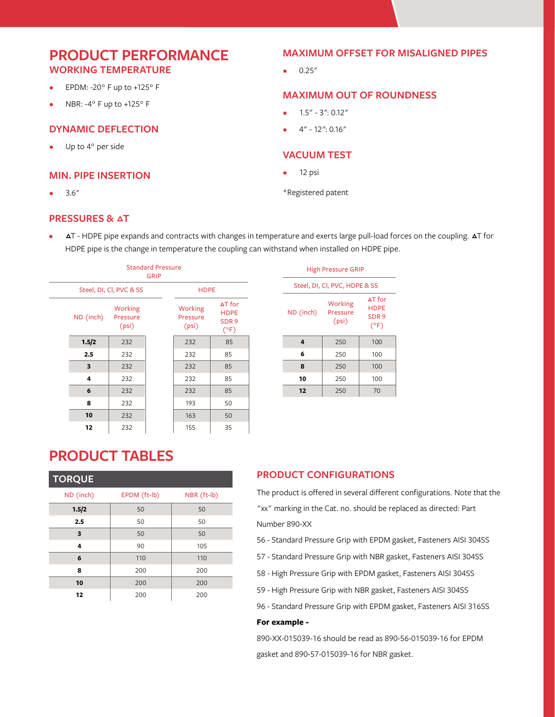## **PRODUCT PERFORMANCE WORKING TEMPERATURE**

- EPDM: -20° F up to +125° F
- NBR: -4° F up to +125° F

### **DYNAMIC DEFLECTION**

Up to 4° per side

### **MIN. PIPE INSERTION**

 $3.6''$ 

## **PRESSURES & AT**

## **MAXIMUM OFFSET FOR MISALIGNED PIPES**

 $0.25''$ 

### **MAXIMUM OUT OF ROUNDNESS**

- $1.5'' 3'' : 0.12''$
- 4" 12": 0.16"

### **VACUUM TEST**

- 12 psi
- \*Registered patent
- AT HDPE pipe expands and contracts with changes in temperature and exerts large pull-load forces on the coupling. AT for HDPE pipe is the change in temperature the coupling can withstand when installed on HDPE pipe.

| <b>Standard Pressure</b><br><b>GRIP</b> |                              |  |                              |                                                                    |  |  |  |  |
|-----------------------------------------|------------------------------|--|------------------------------|--------------------------------------------------------------------|--|--|--|--|
|                                         | Steel, DI, Cl, PVC & SS      |  |                              | <b>HDPE</b>                                                        |  |  |  |  |
| ND (inch)                               | Working<br>Pressure<br>(psi) |  | Working<br>Pressure<br>(psi) | $\Delta T$ for<br><b>HDPE</b><br>SDR <sub>9</sub><br>$(^{\circ}F)$ |  |  |  |  |
| 1.5/2                                   | 232                          |  | 232                          | 85                                                                 |  |  |  |  |
| 2.5                                     | 232                          |  | 232                          | 85                                                                 |  |  |  |  |
| 3                                       | 232<br>232                   |  | 232                          | 85                                                                 |  |  |  |  |
| 4                                       |                              |  | 232                          | 85                                                                 |  |  |  |  |
| 6                                       | 232                          |  | 232                          | 85                                                                 |  |  |  |  |
| 8                                       | 232                          |  | 193                          | 50                                                                 |  |  |  |  |
| 10                                      | 232                          |  | 163                          | 50                                                                 |  |  |  |  |
| 12                                      | 232                          |  | 155                          | 35                                                                 |  |  |  |  |

| <b>High Pressure GRIP</b>     |                              |                                                           |  |  |  |  |  |
|-------------------------------|------------------------------|-----------------------------------------------------------|--|--|--|--|--|
| Steel, DI, Cl, PVC, HDPE & SS |                              |                                                           |  |  |  |  |  |
| ND (inch)                     | Working<br>Pressure<br>(psi) | $\Delta T$ for<br><b>HDPE</b><br>SDR <sub>9</sub><br>(°F) |  |  |  |  |  |
| 4                             | 250                          | 100                                                       |  |  |  |  |  |
| 6                             | 250                          | 100                                                       |  |  |  |  |  |
| 8                             | 250                          | 100                                                       |  |  |  |  |  |
| 10                            | 250                          | 100                                                       |  |  |  |  |  |
| 12                            | 250                          | 70                                                        |  |  |  |  |  |

## **PRODUCT TABLES**

| <b>TORQUE</b> |              |             |
|---------------|--------------|-------------|
| ND (inch)     | EPDM (ft-lb) | NBR (ft-lb) |
| 1.5/2         | 50           | 50          |
| 2.5           | 50           | 50          |
| 3             | 50           | 50          |
| 4             | 90           | 105         |
| 6             | 110          | 110         |
| 8             | 200          | 200         |
| 10            | 200          | 200         |
| 12            | 200          | 200         |

## **PRODUCT CONFIGURATIONS**

The product is offered in several different configurations. Note that the "xx" marking in the Cat. no. should be replaced as directed: Part Number 890-XX

- 56 Standard Pressure Grip with EPDM gasket, Fasteners AISI 304SS
- 57 Standard Pressure Grip with NBR gasket, Fasteners AISI 304SS
- 58 High Pressure Grip with EPDM gasket, Fasteners AISI 304SS
- 59 High Pressure Grip with NBR gasket, Fasteners AISI 304SS
- 96 Standard Pressure Grip with EPDM gasket, Fasteners AISI 316SS

#### **For example -**

890-XX-015039-16 should be read as 890-56-015039-16 for EPDM gasket and 890-57-015039-16 for NBR gasket.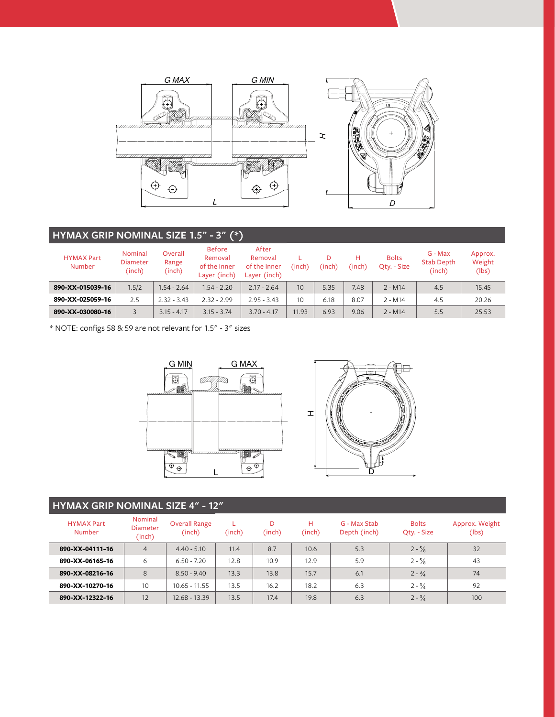

## **HYMAX GRIP NOMINAL SIZE 1.5" - 3" (\*)**

|                                    |                                             |                            | .                                                        |                                                  |                 |             |             |                             |                                          |                            |
|------------------------------------|---------------------------------------------|----------------------------|----------------------------------------------------------|--------------------------------------------------|-----------------|-------------|-------------|-----------------------------|------------------------------------------|----------------------------|
| <b>HYMAX Part</b><br><b>Number</b> | <b>Nominal</b><br><b>Diameter</b><br>(inch) | Overall<br>Range<br>(inch) | <b>Before</b><br>Removal<br>of the Inner<br>Layer (inch) | After<br>Removal<br>of the Inner<br>Layer (inch) | (inch)          | D<br>(inch) | н<br>(inch) | <b>Bolts</b><br>Qty. - Size | $G - Max$<br><b>Stab Depth</b><br>(inch) | Approx.<br>Weight<br>(lbs) |
| 890-XX-015039-16                   | 1.5/2                                       | $1.54 - 2.64$              | $1.54 - 2.20$                                            | $2.17 - 2.64$                                    | 10 <sup>1</sup> | 5.35        | 7.48        | $2 - M14$                   | 4.5                                      | 15.45                      |
| 890-XX-025059-16                   | 2.5                                         | $2.32 - 3.43$              | $2.32 - 2.99$                                            | $2.95 - 3.43$                                    | 10              | 6.18        | 8.07        | $2 - M14$                   | 4.5                                      | 20.26                      |
| 890-XX-030080-16                   |                                             | $3.15 - 4.17$              | $3.15 - 3.74$                                            | $3.70 - 4.17$                                    | 11.93           | 6.93        | 9.06        | $2 - M14$                   | 5.5                                      | 25.53                      |

\* NOTE: configs 58 & 59 are not relevant for 1.5" - 3" sizes





| <b>HYMAX GRIP NOMINAL SIZE 4" - 12"</b> |                                      |                                |        |             |             |                              |                             |                         |  |
|-----------------------------------------|--------------------------------------|--------------------------------|--------|-------------|-------------|------------------------------|-----------------------------|-------------------------|--|
| <b>HYMAX Part</b><br><b>Number</b>      | Nominal<br><b>Diameter</b><br>(inch) | <b>Overall Range</b><br>(inch) | (inch) | D<br>(inch) | н<br>(inch) | G - Max Stab<br>Depth (inch) | <b>Bolts</b><br>Qty. - Size | Approx. Weight<br>(lbs) |  |
| 890-XX-04111-16                         | $\overline{4}$                       | $4.40 - 5.10$                  | 11.4   | 8.7         | 10.6        | 5.3                          | $2 - \frac{5}{8}$           | 32                      |  |
| 890-XX-06165-16                         | 6                                    | $6.50 - 7.20$                  | 12.8   | 10.9        | 12.9        | 5.9                          | $2 - \frac{5}{8}$           | 43                      |  |
| 890-XX-08216-16                         | 8                                    | $8.50 - 9.40$                  | 13.3   | 13.8        | 15.7        | 6.1                          | $2 - \frac{3}{4}$           | 74                      |  |
| 890-XX-10270-16                         | 10                                   | $10.65 - 11.55$                | 13.5   | 16.2        | 18.2        | 6.3                          | $2 - \frac{3}{4}$           | 92                      |  |
| 890-XX-12322-16                         | 12                                   | 12.68 - 13.39                  | 13.5   | 17.4        | 19.8        | 6.3                          | $2 - \frac{3}{4}$           | 100                     |  |